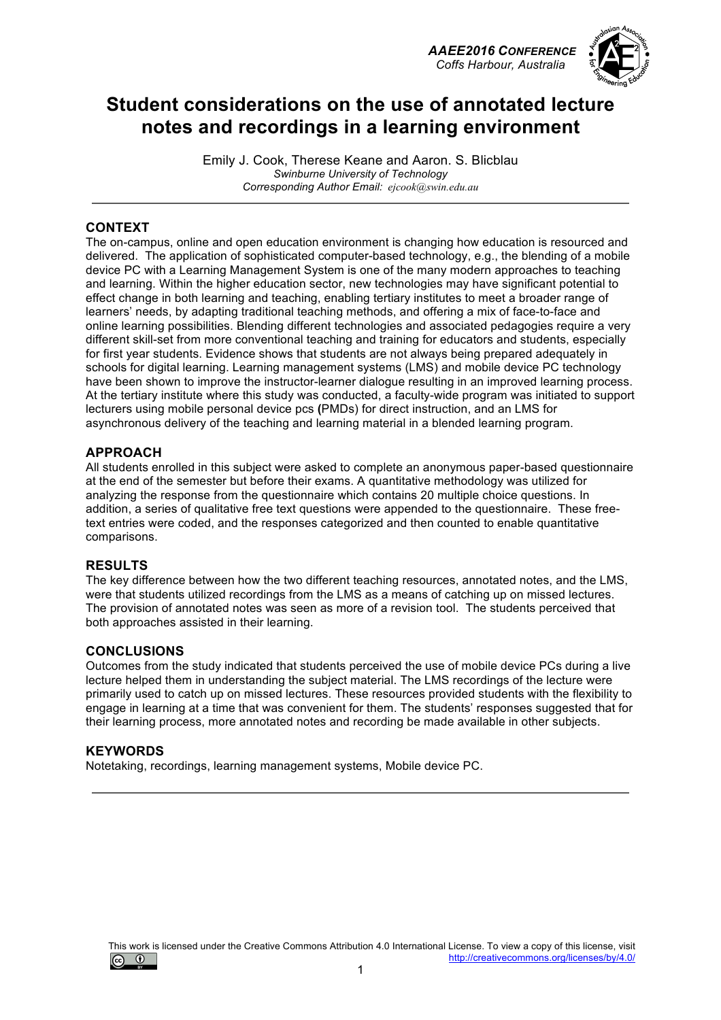



## **Student considerations on the use of annotated lecture notes and recordings in a learning environment**

Emily J. Cook, Therese Keane and Aaron. S. Blicblau *Swinburne University of Technology Corresponding Author Email: ejcook@swin.edu.au*

### **CONTEXT**

The on-campus, online and open education environment is changing how education is resourced and delivered. The application of sophisticated computer-based technology, e.g., the blending of a mobile device PC with a Learning Management System is one of the many modern approaches to teaching and learning. Within the higher education sector, new technologies may have significant potential to effect change in both learning and teaching, enabling tertiary institutes to meet a broader range of learners' needs, by adapting traditional teaching methods, and offering a mix of face-to-face and online learning possibilities. Blending different technologies and associated pedagogies require a very different skill-set from more conventional teaching and training for educators and students, especially for first year students. Evidence shows that students are not always being prepared adequately in schools for digital learning. Learning management systems (LMS) and mobile device PC technology have been shown to improve the instructor-learner dialogue resulting in an improved learning process. At the tertiary institute where this study was conducted, a faculty-wide program was initiated to support lecturers using mobile personal device pcs **(**PMDs) for direct instruction, and an LMS for asynchronous delivery of the teaching and learning material in a blended learning program.

### **APPROACH**

All students enrolled in this subject were asked to complete an anonymous paper-based questionnaire at the end of the semester but before their exams. A quantitative methodology was utilized for analyzing the response from the questionnaire which contains 20 multiple choice questions. In addition, a series of qualitative free text questions were appended to the questionnaire. These freetext entries were coded, and the responses categorized and then counted to enable quantitative comparisons.

#### **RESULTS**

The key difference between how the two different teaching resources, annotated notes, and the LMS, were that students utilized recordings from the LMS as a means of catching up on missed lectures. The provision of annotated notes was seen as more of a revision tool. The students perceived that both approaches assisted in their learning.

#### **CONCLUSIONS**

Outcomes from the study indicated that students perceived the use of mobile device PCs during a live lecture helped them in understanding the subject material. The LMS recordings of the lecture were primarily used to catch up on missed lectures. These resources provided students with the flexibility to engage in learning at a time that was convenient for them. The students' responses suggested that for their learning process, more annotated notes and recording be made available in other subjects.

#### **KEYWORDS**

Notetaking, recordings, learning management systems, Mobile device PC.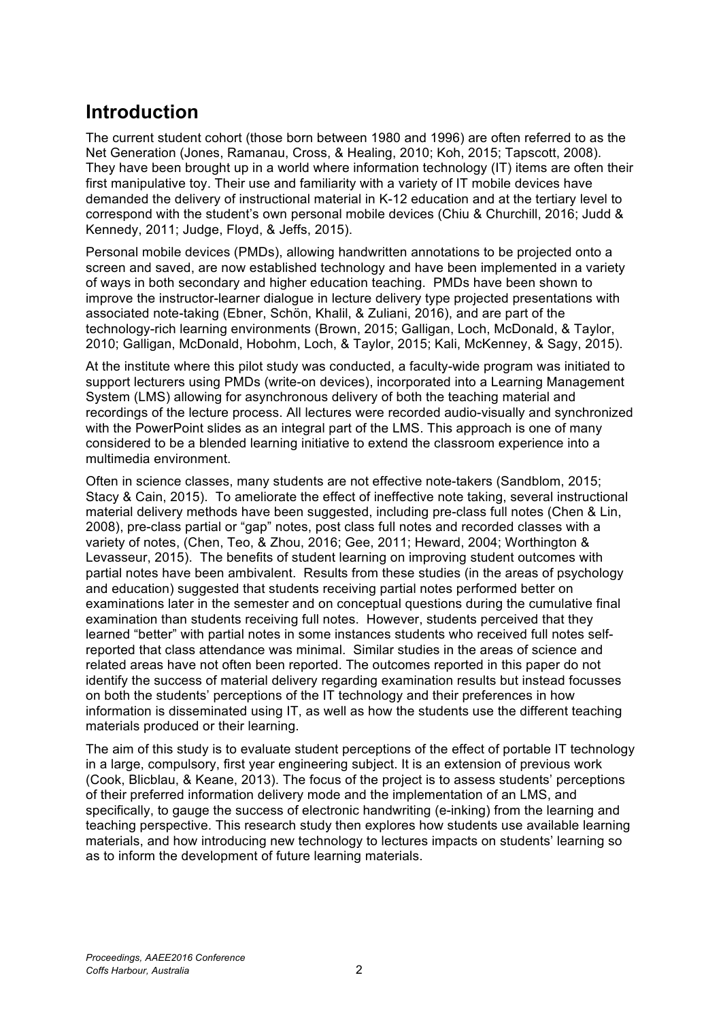## **Introduction**

The current student cohort (those born between 1980 and 1996) are often referred to as the Net Generation (Jones, Ramanau, Cross, & Healing, 2010; Koh, 2015; Tapscott, 2008). They have been brought up in a world where information technology (IT) items are often their first manipulative toy. Their use and familiarity with a variety of IT mobile devices have demanded the delivery of instructional material in K-12 education and at the tertiary level to correspond with the student's own personal mobile devices (Chiu & Churchill, 2016; Judd & Kennedy, 2011; Judge, Floyd, & Jeffs, 2015).

Personal mobile devices (PMDs), allowing handwritten annotations to be projected onto a screen and saved, are now established technology and have been implemented in a variety of ways in both secondary and higher education teaching. PMDs have been shown to improve the instructor-learner dialogue in lecture delivery type projected presentations with associated note-taking (Ebner, Schön, Khalil, & Zuliani, 2016), and are part of the technology-rich learning environments (Brown, 2015; Galligan, Loch, McDonald, & Taylor, 2010; Galligan, McDonald, Hobohm, Loch, & Taylor, 2015; Kali, McKenney, & Sagy, 2015).

At the institute where this pilot study was conducted, a faculty-wide program was initiated to support lecturers using PMDs (write-on devices), incorporated into a Learning Management System (LMS) allowing for asynchronous delivery of both the teaching material and recordings of the lecture process. All lectures were recorded audio-visually and synchronized with the PowerPoint slides as an integral part of the LMS. This approach is one of many considered to be a blended learning initiative to extend the classroom experience into a multimedia environment.

Often in science classes, many students are not effective note-takers (Sandblom, 2015; Stacy & Cain, 2015). To ameliorate the effect of ineffective note taking, several instructional material delivery methods have been suggested, including pre-class full notes (Chen & Lin, 2008), pre-class partial or "gap" notes, post class full notes and recorded classes with a variety of notes, (Chen, Teo, & Zhou, 2016; Gee, 2011; Heward, 2004; Worthington & Levasseur, 2015). The benefits of student learning on improving student outcomes with partial notes have been ambivalent. Results from these studies (in the areas of psychology and education) suggested that students receiving partial notes performed better on examinations later in the semester and on conceptual questions during the cumulative final examination than students receiving full notes. However, students perceived that they learned "better" with partial notes in some instances students who received full notes selfreported that class attendance was minimal. Similar studies in the areas of science and related areas have not often been reported. The outcomes reported in this paper do not identify the success of material delivery regarding examination results but instead focusses on both the students' perceptions of the IT technology and their preferences in how information is disseminated using IT, as well as how the students use the different teaching materials produced or their learning.

The aim of this study is to evaluate student perceptions of the effect of portable IT technology in a large, compulsory, first year engineering subject. It is an extension of previous work (Cook, Blicblau, & Keane, 2013). The focus of the project is to assess students' perceptions of their preferred information delivery mode and the implementation of an LMS, and specifically, to gauge the success of electronic handwriting (e-inking) from the learning and teaching perspective. This research study then explores how students use available learning materials, and how introducing new technology to lectures impacts on students' learning so as to inform the development of future learning materials.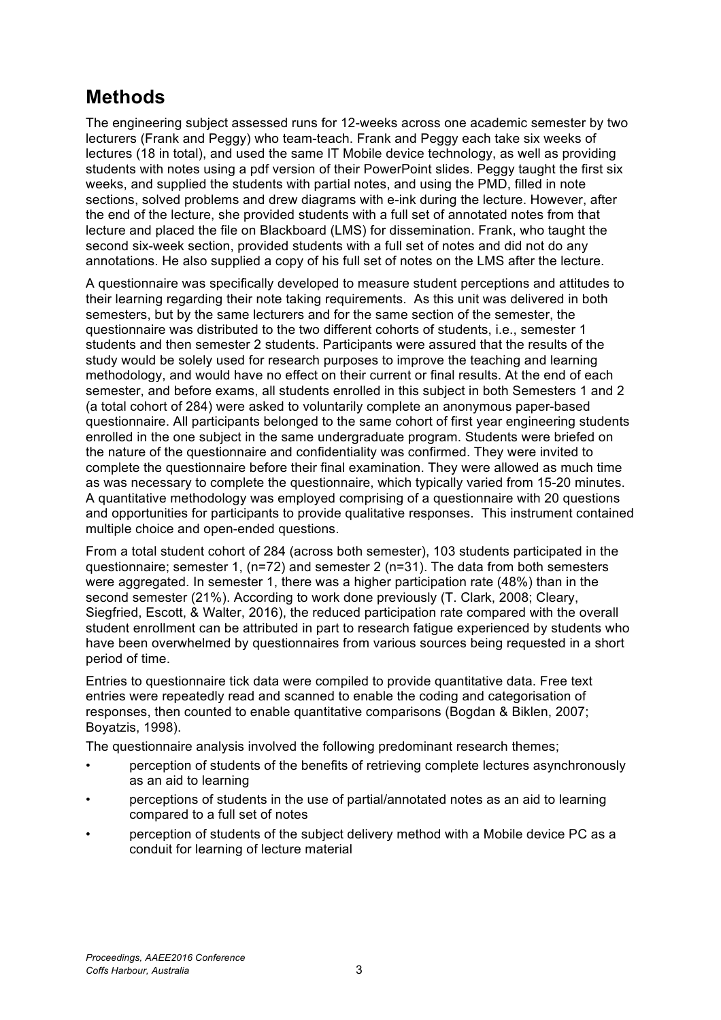# **Methods**

The engineering subject assessed runs for 12-weeks across one academic semester by two lecturers (Frank and Peggy) who team-teach. Frank and Peggy each take six weeks of lectures (18 in total), and used the same IT Mobile device technology, as well as providing students with notes using a pdf version of their PowerPoint slides. Peggy taught the first six weeks, and supplied the students with partial notes, and using the PMD, filled in note sections, solved problems and drew diagrams with e-ink during the lecture. However, after the end of the lecture, she provided students with a full set of annotated notes from that lecture and placed the file on Blackboard (LMS) for dissemination. Frank, who taught the second six-week section, provided students with a full set of notes and did not do any annotations. He also supplied a copy of his full set of notes on the LMS after the lecture.

A questionnaire was specifically developed to measure student perceptions and attitudes to their learning regarding their note taking requirements. As this unit was delivered in both semesters, but by the same lecturers and for the same section of the semester, the questionnaire was distributed to the two different cohorts of students, i.e., semester 1 students and then semester 2 students. Participants were assured that the results of the study would be solely used for research purposes to improve the teaching and learning methodology, and would have no effect on their current or final results. At the end of each semester, and before exams, all students enrolled in this subject in both Semesters 1 and 2 (a total cohort of 284) were asked to voluntarily complete an anonymous paper-based questionnaire. All participants belonged to the same cohort of first year engineering students enrolled in the one subject in the same undergraduate program. Students were briefed on the nature of the questionnaire and confidentiality was confirmed. They were invited to complete the questionnaire before their final examination. They were allowed as much time as was necessary to complete the questionnaire, which typically varied from 15-20 minutes. A quantitative methodology was employed comprising of a questionnaire with 20 questions and opportunities for participants to provide qualitative responses. This instrument contained multiple choice and open-ended questions.

From a total student cohort of 284 (across both semester), 103 students participated in the questionnaire; semester 1, (n=72) and semester 2 (n=31). The data from both semesters were aggregated. In semester 1, there was a higher participation rate (48%) than in the second semester (21%). According to work done previously (T. Clark, 2008; Cleary, Siegfried, Escott, & Walter, 2016), the reduced participation rate compared with the overall student enrollment can be attributed in part to research fatigue experienced by students who have been overwhelmed by questionnaires from various sources being requested in a short period of time.

Entries to questionnaire tick data were compiled to provide quantitative data. Free text entries were repeatedly read and scanned to enable the coding and categorisation of responses, then counted to enable quantitative comparisons (Bogdan & Biklen, 2007; Boyatzis, 1998).

The questionnaire analysis involved the following predominant research themes;

- perception of students of the benefits of retrieving complete lectures asynchronously as an aid to learning
- perceptions of students in the use of partial/annotated notes as an aid to learning compared to a full set of notes
- perception of students of the subject delivery method with a Mobile device PC as a conduit for learning of lecture material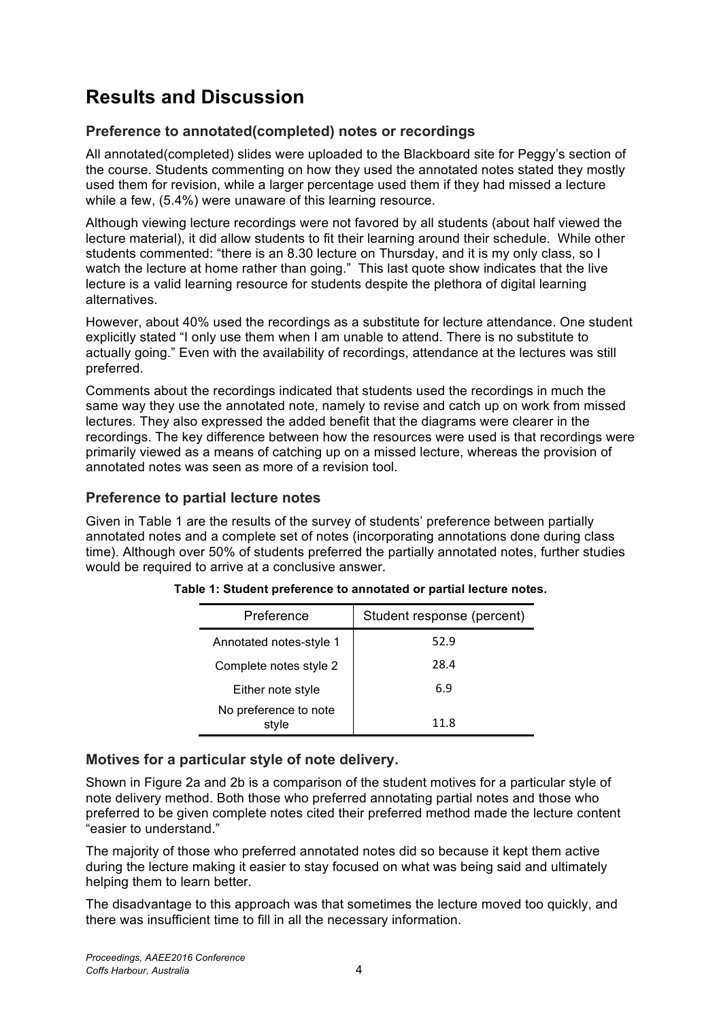# **Results and Discussion**

## **Preference to annotated(completed) notes or recordings**

All annotated(completed) slides were uploaded to the Blackboard site for Peggy's section of the course. Students commenting on how they used the annotated notes stated they mostly used them for revision, while a larger percentage used them if they had missed a lecture while a few, (5.4%) were unaware of this learning resource.

Although viewing lecture recordings were not favored by all students (about half viewed the lecture material), it did allow students to fit their learning around their schedule. While other students commented: "there is an 8.30 lecture on Thursday, and it is my only class, so I watch the lecture at home rather than going." This last quote show indicates that the live lecture is a valid learning resource for students despite the plethora of digital learning alternatives.

However, about 40% used the recordings as a substitute for lecture attendance. One student explicitly stated "I only use them when I am unable to attend. There is no substitute to actually going." Even with the availability of recordings, attendance at the lectures was still preferred.

Comments about the recordings indicated that students used the recordings in much the same way they use the annotated note, namely to revise and catch up on work from missed lectures. They also expressed the added benefit that the diagrams were clearer in the recordings. The key difference between how the resources were used is that recordings were primarily viewed as a means of catching up on a missed lecture, whereas the provision of annotated notes was seen as more of a revision tool.

### **Preference to partial lecture notes**

Given in Table 1 are the results of the survey of students' preference between partially annotated notes and a complete set of notes (incorporating annotations done during class time). Although over 50% of students preferred the partially annotated notes, further studies would be required to arrive at a conclusive answer.

| Preference                     | Student response (percent) |
|--------------------------------|----------------------------|
| Annotated notes-style 1        | 52.9                       |
| Complete notes style 2         | 28.4                       |
| Either note style              | 6.9                        |
| No preference to note<br>style | 11.8                       |

**Table 1: Student preference to annotated or partial lecture notes.**

### **Motives for a particular style of note delivery.**

Shown in Figure 2a and 2b is a comparison of the student motives for a particular style of note delivery method. Both those who preferred annotating partial notes and those who preferred to be given complete notes cited their preferred method made the lecture content "easier to understand."

The majority of those who preferred annotated notes did so because it kept them active during the lecture making it easier to stay focused on what was being said and ultimately helping them to learn better.

The disadvantage to this approach was that sometimes the lecture moved too quickly, and there was insufficient time to fill in all the necessary information.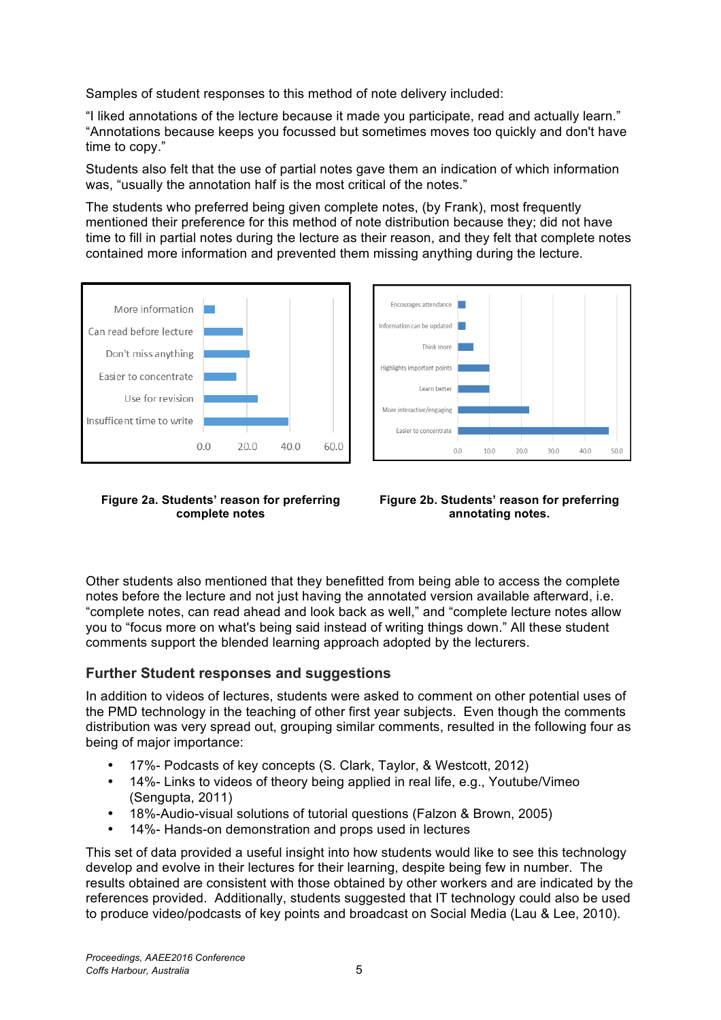Samples of student responses to this method of note delivery included:

"I liked annotations of the lecture because it made you participate, read and actually learn." "Annotations because keeps you focussed but sometimes moves too quickly and don't have time to copy."

Students also felt that the use of partial notes gave them an indication of which information was, "usually the annotation half is the most critical of the notes."

The students who preferred being given complete notes, (by Frank), most frequently mentioned their preference for this method of note distribution because they; did not have time to fill in partial notes during the lecture as their reason, and they felt that complete notes contained more information and prevented them missing anything during the lecture.





**Figure 2a. Students' reason for preferring complete notes**

**Figure 2b. Students' reason for preferring annotating notes.**

Other students also mentioned that they benefitted from being able to access the complete notes before the lecture and not just having the annotated version available afterward, i.e. "complete notes, can read ahead and look back as well," and "complete lecture notes allow you to "focus more on what's being said instead of writing things down." All these student comments support the blended learning approach adopted by the lecturers.

### **Further Student responses and suggestions**

In addition to videos of lectures, students were asked to comment on other potential uses of the PMD technology in the teaching of other first year subjects. Even though the comments distribution was very spread out, grouping similar comments, resulted in the following four as being of major importance:

- 17%- Podcasts of key concepts (S. Clark, Taylor, & Westcott, 2012)
- 14%- Links to videos of theory being applied in real life, e.g., Youtube/Vimeo (Sengupta, 2011)
- 18%-Audio-visual solutions of tutorial questions (Falzon & Brown, 2005)
- 14%- Hands-on demonstration and props used in lectures

This set of data provided a useful insight into how students would like to see this technology develop and evolve in their lectures for their learning, despite being few in number. The results obtained are consistent with those obtained by other workers and are indicated by the references provided. Additionally, students suggested that IT technology could also be used to produce video/podcasts of key points and broadcast on Social Media (Lau & Lee, 2010).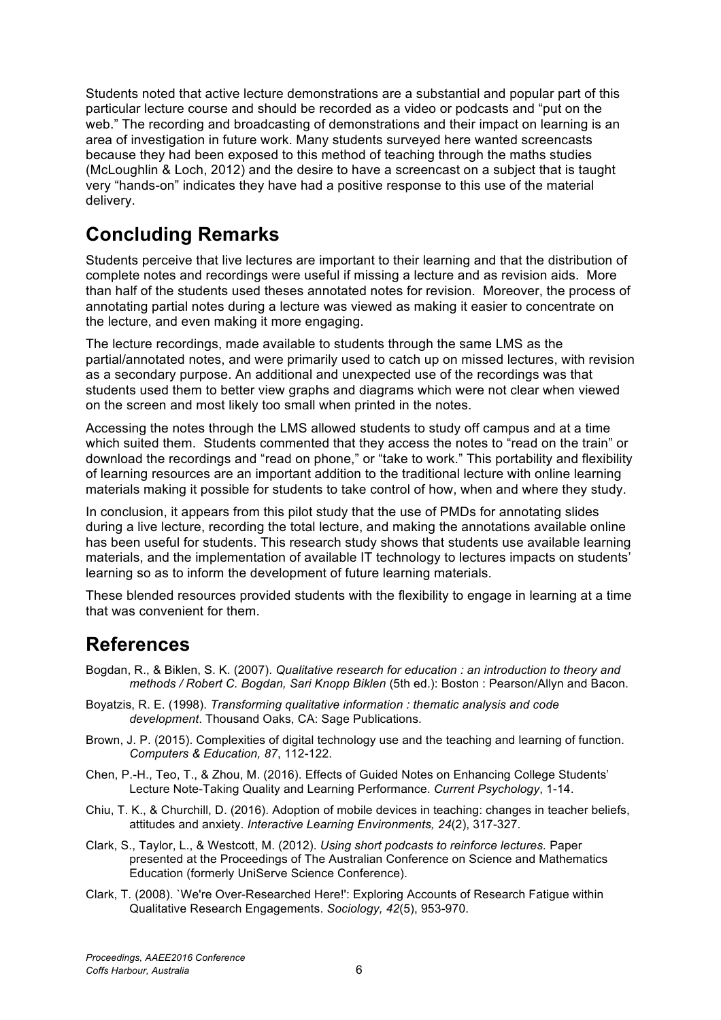Students noted that active lecture demonstrations are a substantial and popular part of this particular lecture course and should be recorded as a video or podcasts and "put on the web." The recording and broadcasting of demonstrations and their impact on learning is an area of investigation in future work. Many students surveyed here wanted screencasts because they had been exposed to this method of teaching through the maths studies (McLoughlin & Loch, 2012) and the desire to have a screencast on a subject that is taught very "hands-on" indicates they have had a positive response to this use of the material delivery.

# **Concluding Remarks**

Students perceive that live lectures are important to their learning and that the distribution of complete notes and recordings were useful if missing a lecture and as revision aids. More than half of the students used theses annotated notes for revision. Moreover, the process of annotating partial notes during a lecture was viewed as making it easier to concentrate on the lecture, and even making it more engaging.

The lecture recordings, made available to students through the same LMS as the partial/annotated notes, and were primarily used to catch up on missed lectures, with revision as a secondary purpose. An additional and unexpected use of the recordings was that students used them to better view graphs and diagrams which were not clear when viewed on the screen and most likely too small when printed in the notes.

Accessing the notes through the LMS allowed students to study off campus and at a time which suited them. Students commented that they access the notes to "read on the train" or download the recordings and "read on phone," or "take to work." This portability and flexibility of learning resources are an important addition to the traditional lecture with online learning materials making it possible for students to take control of how, when and where they study.

In conclusion, it appears from this pilot study that the use of PMDs for annotating slides during a live lecture, recording the total lecture, and making the annotations available online has been useful for students. This research study shows that students use available learning materials, and the implementation of available IT technology to lectures impacts on students' learning so as to inform the development of future learning materials.

These blended resources provided students with the flexibility to engage in learning at a time that was convenient for them.

## **References**

- Bogdan, R., & Biklen, S. K. (2007). *Qualitative research for education : an introduction to theory and methods / Robert C. Bogdan, Sari Knopp Biklen* (5th ed.): Boston : Pearson/Allyn and Bacon.
- Boyatzis, R. E. (1998). *Transforming qualitative information : thematic analysis and code development*. Thousand Oaks, CA: Sage Publications.
- Brown, J. P. (2015). Complexities of digital technology use and the teaching and learning of function. *Computers & Education, 87*, 112-122.
- Chen, P.-H., Teo, T., & Zhou, M. (2016). Effects of Guided Notes on Enhancing College Students' Lecture Note-Taking Quality and Learning Performance. *Current Psychology*, 1-14.
- Chiu, T. K., & Churchill, D. (2016). Adoption of mobile devices in teaching: changes in teacher beliefs, attitudes and anxiety. *Interactive Learning Environments, 24*(2), 317-327.
- Clark, S., Taylor, L., & Westcott, M. (2012). *Using short podcasts to reinforce lectures.* Paper presented at the Proceedings of The Australian Conference on Science and Mathematics Education (formerly UniServe Science Conference).
- Clark, T. (2008). `We're Over-Researched Here!': Exploring Accounts of Research Fatigue within Qualitative Research Engagements. *Sociology, 42*(5), 953-970.